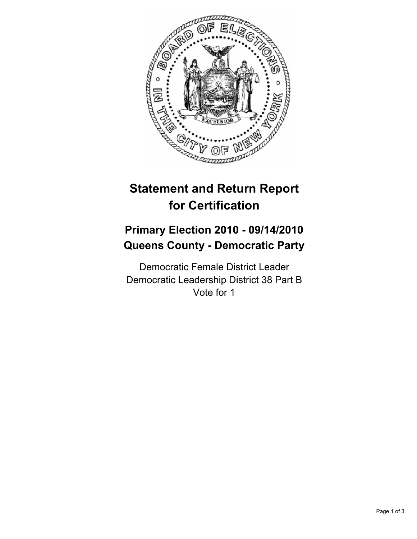

# **Statement and Return Report for Certification**

## **Primary Election 2010 - 09/14/2010 Queens County - Democratic Party**

Democratic Female District Leader Democratic Leadership District 38 Part B Vote for 1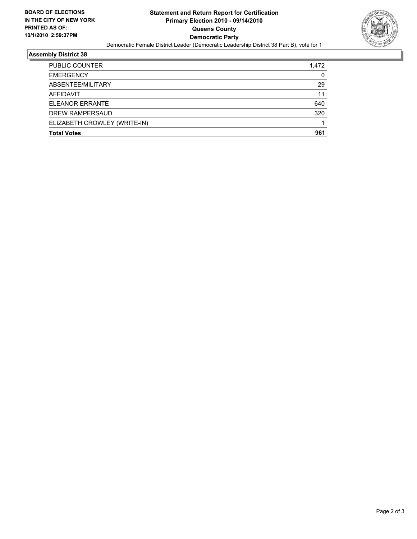

### **Assembly District 38**

| <b>PUBLIC COUNTER</b>        | 1,472 |
|------------------------------|-------|
| <b>EMERGENCY</b>             | 0     |
| ABSENTEE/MILITARY            | 29    |
| AFFIDAVIT                    | 11    |
| <b>ELEANOR ERRANTE</b>       | 640   |
| DREW RAMPERSAUD              | 320   |
| ELIZABETH CROWLEY (WRITE-IN) |       |
| <b>Total Votes</b>           | 961   |
|                              |       |